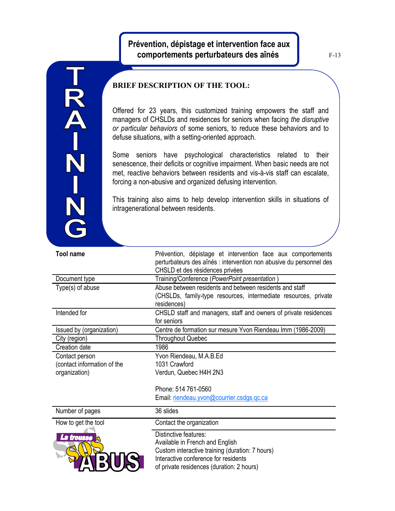## **Prévention, dépistage et intervention face aux comportements perturbateurs des aînés**

F-13

## **BRIEF DESCRIPTION OF THE TOOL:**

TRA-N<br>N<br>N<br>N

Offered for 23 years, this customized training empowers the staff and managers of CHSLDs and residences for seniors when facing *the disruptive or particular behaviors* of some seniors, to reduce these behaviors and to defuse situations, with a setting-oriented approach.

Some seniors have psychological characteristics related to their senescence, their deficits or cognitive impairment. When basic needs are not met, reactive behaviors between residents and vis-à-vis staff can escalate, forcing a non-abusive and organized defusing intervention.

This training also aims to help develop intervention skills in situations of intragenerational between residents.

| <b>Tool name</b>            | Prévention, dépistage et intervention face aux comportements<br>perturbateurs des aînés : intervention non abusive du personnel des<br>CHSLD et des résidences privées                           |
|-----------------------------|--------------------------------------------------------------------------------------------------------------------------------------------------------------------------------------------------|
| Document type               | Training/Conference (PowerPoint presentation)                                                                                                                                                    |
| Type(s) of abuse            | Abuse between residents and between residents and staff<br>(CHSLDs, family-type resources, intermediate resources, private<br>residences)                                                        |
| Intended for                | CHSLD staff and managers, staff and owners of private residences<br>for seniors                                                                                                                  |
| Issued by (organization)    | Centre de formation sur mesure Yvon Riendeau Imm (1986-2009)                                                                                                                                     |
| City (region)               | <b>Throughout Quebec</b>                                                                                                                                                                         |
| Creation date               | 1986                                                                                                                                                                                             |
| Contact person              | Yvon Riendeau, M.A.B.Ed                                                                                                                                                                          |
| (contact information of the | 1031 Crawford                                                                                                                                                                                    |
| organization)               | Verdun, Quebec H4H 2N3                                                                                                                                                                           |
|                             | Phone: 514 761-0560                                                                                                                                                                              |
|                             | Email: riendeau.yvon@courrier.csdgs.gc.ca                                                                                                                                                        |
| Number of pages             | 36 slides                                                                                                                                                                                        |
| How to get the tool         | Contact the organization                                                                                                                                                                         |
| La trousse                  | Distinctive features:<br>Available in French and English<br>Custom interactive training (duration: 7 hours)<br>Interactive conference for residents<br>of private residences (duration: 2 hours) |